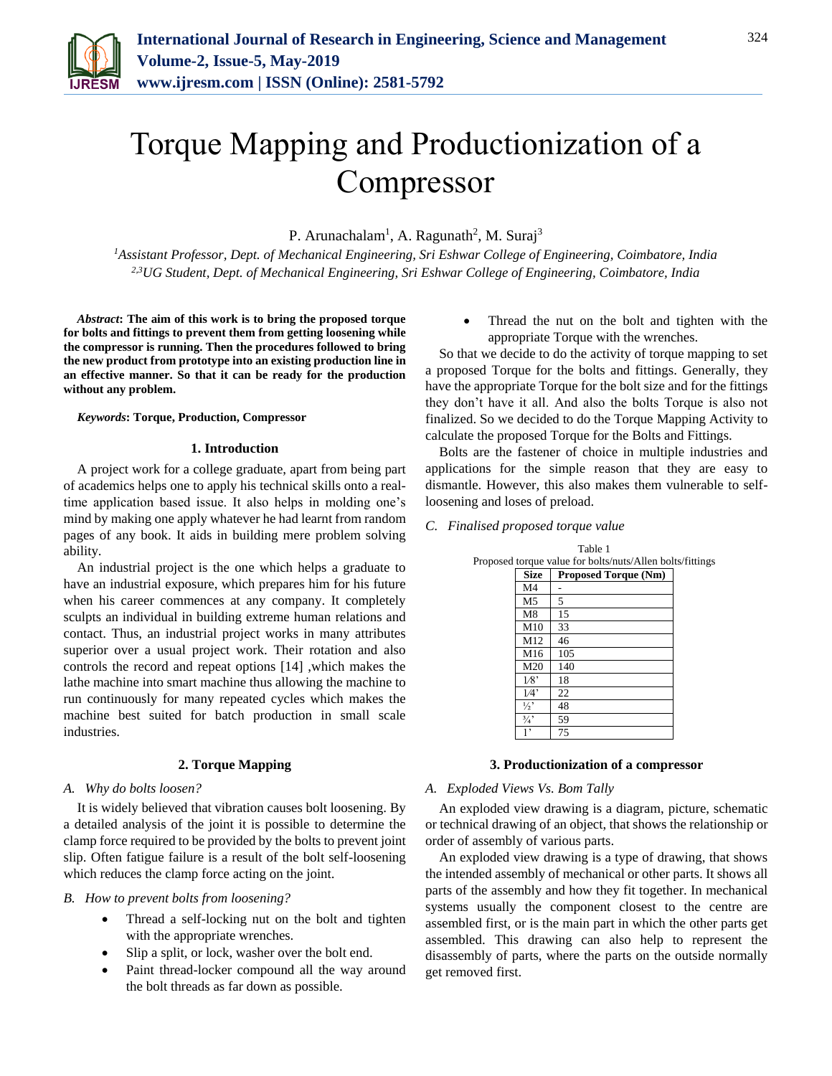

# Torque Mapping and Productionization of a Compressor

P. Arunachalam<sup>1</sup>, A. Ragunath<sup>2</sup>, M. Suraj<sup>3</sup>

*<sup>1</sup>Assistant Professor, Dept. of Mechanical Engineering, Sri Eshwar College of Engineering, Coimbatore, India 2,3UG Student, Dept. of Mechanical Engineering, Sri Eshwar College of Engineering, Coimbatore, India*

*Abstract***: The aim of this work is to bring the proposed torque for bolts and fittings to prevent them from getting loosening while the compressor is running. Then the procedures followed to bring the new product from prototype into an existing production line in an effective manner. So that it can be ready for the production without any problem.**

# *Keywords***: Torque, Production, Compressor**

# **1. Introduction**

A project work for a college graduate, apart from being part of academics helps one to apply his technical skills onto a realtime application based issue. It also helps in molding one's mind by making one apply whatever he had learnt from random pages of any book. It aids in building mere problem solving ability.

An industrial project is the one which helps a graduate to have an industrial exposure, which prepares him for his future when his career commences at any company. It completely sculpts an individual in building extreme human relations and contact. Thus, an industrial project works in many attributes superior over a usual project work. Their rotation and also controls the record and repeat options [14] ,which makes the lathe machine into smart machine thus allowing the machine to run continuously for many repeated cycles which makes the machine best suited for batch production in small scale industries.

# **2. Torque Mapping**

#### *A. Why do bolts loosen?*

It is widely believed that vibration causes bolt loosening. By a detailed analysis of the joint it is possible to determine the clamp force required to be provided by the bolts to prevent joint slip. Often fatigue failure is a result of the bolt self-loosening which reduces the clamp force acting on the joint.

#### *B. How to prevent bolts from loosening?*

- Thread a self-locking nut on the bolt and tighten with the appropriate wrenches.
- Slip a split, or lock, washer over the bolt end.
- Paint thread-locker compound all the way around the bolt threads as far down as possible.

 Thread the nut on the bolt and tighten with the appropriate Torque with the wrenches.

So that we decide to do the activity of torque mapping to set a proposed Torque for the bolts and fittings. Generally, they have the appropriate Torque for the bolt size and for the fittings they don't have it all. And also the bolts Torque is also not finalized. So we decided to do the Torque Mapping Activity to calculate the proposed Torque for the Bolts and Fittings.

Bolts are the fastener of choice in multiple industries and applications for the simple reason that they are easy to dismantle. However, this also makes them vulnerable to selfloosening and loses of preload.

*C. Finalised proposed torque value*

|               | Proposed torque value for bolts/nuts/Allen bolts/fittings |  |
|---------------|-----------------------------------------------------------|--|
| <b>Size</b>   | <b>Proposed Torque (Nm)</b>                               |  |
| M4            |                                                           |  |
| M5            | 5                                                         |  |
| M8            | 15                                                        |  |
| M10           | 33                                                        |  |
| M12           | 46                                                        |  |
| M16           | 105                                                       |  |
| M20           | 140                                                       |  |
| 1⁄8'          | 18                                                        |  |
| 1/4"          | 22                                                        |  |
| $\frac{1}{2}$ | 48                                                        |  |
| $\frac{3}{4}$ | 59                                                        |  |
| 1,            | 75                                                        |  |

Table 1

## **3. Productionization of a compressor**

#### *A. Exploded Views Vs. Bom Tally*

An exploded view drawing is a diagram, picture, schematic or technical drawing of an object, that shows the relationship or order of assembly of various parts.

An exploded view drawing is a type of drawing, that shows the intended assembly of mechanical or other parts. It shows all parts of the assembly and how they fit together. In mechanical systems usually the component closest to the centre are assembled first, or is the main part in which the other parts get assembled. This drawing can also help to represent the disassembly of parts, where the parts on the outside normally get removed first.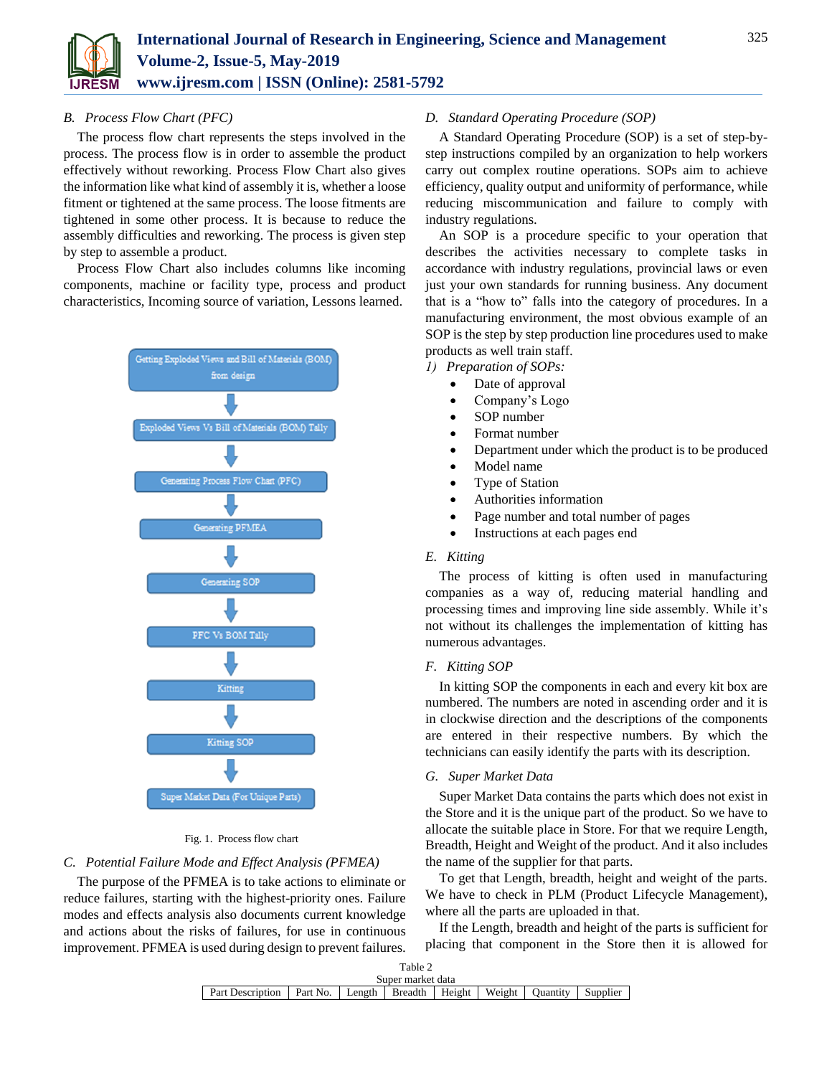

# *B. Process Flow Chart (PFC)*

The process flow chart represents the steps involved in the process. The process flow is in order to assemble the product effectively without reworking. Process Flow Chart also gives the information like what kind of assembly it is, whether a loose fitment or tightened at the same process. The loose fitments are tightened in some other process. It is because to reduce the assembly difficulties and reworking. The process is given step by step to assemble a product.

Process Flow Chart also includes columns like incoming components, machine or facility type, process and product characteristics, Incoming source of variation, Lessons learned.



#### Fig. 1. Process flow chart

### *C. Potential Failure Mode and Effect Analysis (PFMEA)*

The purpose of the PFMEA is to take actions to eliminate or reduce failures, starting with the highest-priority ones. Failure modes and effects analysis also documents current knowledge and actions about the risks of failures, for use in continuous improvement. PFMEA is used during design to prevent failures.

# *D. Standard Operating Procedure (SOP)*

A Standard Operating Procedure (SOP) is a set of step-bystep instructions compiled by an organization to help workers carry out complex routine operations. SOPs aim to achieve efficiency, quality output and uniformity of performance, while reducing miscommunication and failure to comply with industry regulations.

An SOP is a procedure specific to your operation that describes the activities necessary to complete tasks in accordance with industry regulations, provincial laws or even just your own standards for running business. Any document that is a "how to" falls into the category of procedures. In a manufacturing environment, the most obvious example of an SOP is the step by step production line procedures used to make products as well train staff.

- *1) Preparation of SOPs:*
	- Date of approval
	- Company's Logo
	- SOP number
	- Format number
	- Department under which the product is to be produced
	- Model name
	- Type of Station
	- Authorities information
	- Page number and total number of pages
	- Instructions at each pages end

# *E. Kitting*

The process of kitting is often used in manufacturing companies as a way of, reducing material handling and processing times and improving line side assembly. While it's not without its challenges the implementation of kitting has numerous advantages.

#### *F. Kitting SOP*

In kitting SOP the components in each and every kit box are numbered. The numbers are noted in ascending order and it is in clockwise direction and the descriptions of the components are entered in their respective numbers. By which the technicians can easily identify the parts with its description.

#### *G. Super Market Data*

Super Market Data contains the parts which does not exist in the Store and it is the unique part of the product. So we have to allocate the suitable place in Store. For that we require Length, Breadth, Height and Weight of the product. And it also includes the name of the supplier for that parts.

To get that Length, breadth, height and weight of the parts. We have to check in PLM (Product Lifecycle Management), where all the parts are uploaded in that.

If the Length, breadth and height of the parts is sufficient for placing that component in the Store then it is allowed for

| Table 2                                                                     |  |  |  |  |  |  |          |  |  |  |
|-----------------------------------------------------------------------------|--|--|--|--|--|--|----------|--|--|--|
| Super market data                                                           |  |  |  |  |  |  |          |  |  |  |
| Part Description   Part No.   Length   Breadth   Height   Weight   Quantity |  |  |  |  |  |  | Supplier |  |  |  |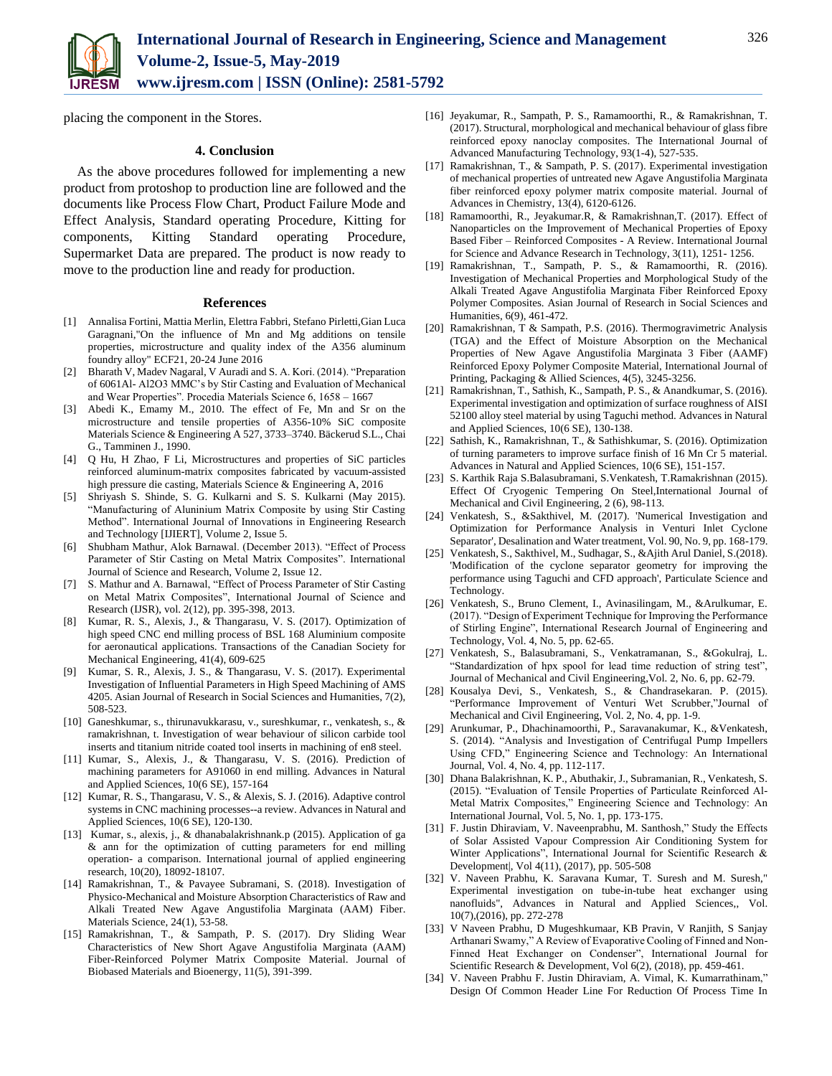

placing the component in the Stores.

## **4. Conclusion**

As the above procedures followed for implementing a new product from protoshop to production line are followed and the documents like Process Flow Chart, Product Failure Mode and Effect Analysis, Standard operating Procedure, Kitting for components, Kitting Standard operating Procedure, Supermarket Data are prepared. The product is now ready to move to the production line and ready for production.

#### **References**

- [1] Annalisa Fortini, Mattia Merlin, Elettra Fabbri, Stefano Pirletti,Gian Luca Garagnani,"On the influence of Mn and Mg additions on tensile properties, microstructure and quality index of the A356 aluminum foundry alloy" ECF21, 20-24 June 2016
- [2] Bharath V, Madev Nagaral, V Auradi and S. A. Kori. (2014). "Preparation of 6061Al- Al2O3 MMC's by Stir Casting and Evaluation of Mechanical and Wear Properties". Procedia Materials Science 6, 1658 – 1667
- [3] Abedi K., Emamy M., 2010. The effect of Fe, Mn and Sr on the microstructure and tensile properties of A356-10% SiC composite Materials Science & Engineering A 527, 3733–3740. Bäckerud S.L., Chai G., Tamminen J., 1990.
- [4] O Hu, H Zhao, F Li, Microstructures and properties of SiC particles reinforced aluminum-matrix composites fabricated by vacuum-assisted high pressure die casting, Materials Science & Engineering A, 2016
- [5] Shriyash S. Shinde, S. G. Kulkarni and S. S. Kulkarni (May 2015). "Manufacturing of Aluninium Matrix Composite by using Stir Casting Method". International Journal of Innovations in Engineering Research and Technology [IJIERT], Volume 2, Issue 5.
- [6] Shubham Mathur, Alok Barnawal. (December 2013). "Effect of Process Parameter of Stir Casting on Metal Matrix Composites". International Journal of Science and Research, Volume 2, Issue 12.
- [7] S. Mathur and A. Barnawal, "Effect of Process Parameter of Stir Casting on Metal Matrix Composites", International Journal of Science and Research (IJSR), vol. 2(12), pp. 395-398, 2013.
- [8] Kumar, R. S., Alexis, J., & Thangarasu, V. S. (2017). Optimization of high speed CNC end milling process of BSL 168 Aluminium composite for aeronautical applications. Transactions of the Canadian Society for Mechanical Engineering, 41(4), 609-625
- [9] Kumar, S. R., Alexis, J. S., & Thangarasu, V. S. (2017). Experimental Investigation of Influential Parameters in High Speed Machining of AMS 4205. Asian Journal of Research in Social Sciences and Humanities, 7(2), 508-523.
- [10] Ganeshkumar, s., thirunavukkarasu, v., sureshkumar, r., venkatesh, s., & ramakrishnan, t. Investigation of wear behaviour of silicon carbide tool inserts and titanium nitride coated tool inserts in machining of en8 steel.
- [11] Kumar, S., Alexis, J., & Thangarasu, V. S. (2016). Prediction of machining parameters for A91060 in end milling. Advances in Natural and Applied Sciences, 10(6 SE), 157-164
- [12] Kumar, R. S., Thangarasu, V. S., & Alexis, S. J. (2016). Adaptive control systems in CNC machining processes--a review. Advances in Natural and Applied Sciences, 10(6 SE), 120-130.
- [13] Kumar, s., alexis, j., & dhanabalakrishnank.p (2015). Application of ga & ann for the optimization of cutting parameters for end milling operation- a comparison. International journal of applied engineering research, 10(20), 18092-18107.
- [14] Ramakrishnan, T., & Pavayee Subramani, S. (2018). Investigation of Physico-Mechanical and Moisture Absorption Characteristics of Raw and Alkali Treated New Agave Angustifolia Marginata (AAM) Fiber. Materials Science, 24(1), 53-58.
- [15] Ramakrishnan, T., & Sampath, P. S. (2017). Dry Sliding Wear Characteristics of New Short Agave Angustifolia Marginata (AAM) Fiber-Reinforced Polymer Matrix Composite Material. Journal of Biobased Materials and Bioenergy, 11(5), 391-399.
- [16] Jeyakumar, R., Sampath, P. S., Ramamoorthi, R., & Ramakrishnan, T. (2017). Structural, morphological and mechanical behaviour of glass fibre reinforced epoxy nanoclay composites. The International Journal of Advanced Manufacturing Technology, 93(1-4), 527-535.
- [17] Ramakrishnan, T., & Sampath, P. S. (2017). Experimental investigation of mechanical properties of untreated new Agave Angustifolia Marginata fiber reinforced epoxy polymer matrix composite material. Journal of Advances in Chemistry, 13(4), 6120-6126.
- [18] Ramamoorthi, R., Jeyakumar.R, & Ramakrishnan,T. (2017). Effect of Nanoparticles on the Improvement of Mechanical Properties of Epoxy Based Fiber – Reinforced Composites - A Review. International Journal for Science and Advance Research in Technology, 3(11), 1251- 1256.
- [19] Ramakrishnan, T., Sampath, P. S., & Ramamoorthi, R. (2016). Investigation of Mechanical Properties and Morphological Study of the Alkali Treated Agave Angustifolia Marginata Fiber Reinforced Epoxy Polymer Composites. Asian Journal of Research in Social Sciences and Humanities, 6(9), 461-472.
- [20] Ramakrishnan, T & Sampath, P.S. (2016). Thermogravimetric Analysis (TGA) and the Effect of Moisture Absorption on the Mechanical Properties of New Agave Angustifolia Marginata 3 Fiber (AAMF) Reinforced Epoxy Polymer Composite Material, International Journal of Printing, Packaging & Allied Sciences, 4(5), 3245-3256.
- [21] Ramakrishnan, T., Sathish, K., Sampath, P. S., & Anandkumar, S. (2016). Experimental investigation and optimization of surface roughness of AISI 52100 alloy steel material by using Taguchi method. Advances in Natural and Applied Sciences, 10(6 SE), 130-138.
- [22] Sathish, K., Ramakrishnan, T., & Sathishkumar, S. (2016). Optimization of turning parameters to improve surface finish of 16 Mn Cr 5 material. Advances in Natural and Applied Sciences, 10(6 SE), 151-157.
- [23] S. Karthik Raja S.Balasubramani, S.Venkatesh, T.Ramakrishnan (2015). Effect Of Cryogenic Tempering On Steel,International Journal of Mechanical and Civil Engineering, 2 (6), 98-113.
- [24] Venkatesh, S., &Sakthivel, M. (2017). 'Numerical Investigation and Optimization for Performance Analysis in Venturi Inlet Cyclone Separator', Desalination and Water treatment, Vol. 90, No. 9, pp. 168-179.
- [25] Venkatesh, S., Sakthivel, M., Sudhagar, S., &Ajith Arul Daniel, S.(2018). 'Modification of the cyclone separator geometry for improving the performance using Taguchi and CFD approach', Particulate Science and Technology.
- [26] Venkatesh, S., Bruno Clement, I., Avinasilingam, M., &Arulkumar, E. (2017). "Design of Experiment Technique for Improving the Performance of Stirling Engine", International Research Journal of Engineering and Technology, Vol. 4, No. 5, pp. 62-65.
- [27] Venkatesh, S., Balasubramani, S., Venkatramanan, S., &Gokulraj, L. "Standardization of hpx spool for lead time reduction of string test", Journal of Mechanical and Civil Engineering,Vol. 2, No. 6, pp. 62-79.
- [28] Kousalya Devi, S., Venkatesh, S., & Chandrasekaran. P. (2015). "Performance Improvement of Venturi Wet Scrubber,"Journal of Mechanical and Civil Engineering, Vol. 2, No. 4, pp. 1-9.
- [29] Arunkumar, P., Dhachinamoorthi, P., Saravanakumar, K., &Venkatesh, S. (2014). "Analysis and Investigation of Centrifugal Pump Impellers Using CFD," Engineering Science and Technology: An International Journal, Vol. 4, No. 4, pp. 112-117.
- [30] Dhana Balakrishnan, K. P., Abuthakir, J., Subramanian, R., Venkatesh, S. (2015). "Evaluation of Tensile Properties of Particulate Reinforced Al-Metal Matrix Composites," Engineering Science and Technology: An International Journal, Vol. 5, No. 1, pp. 173-175.
- [31] F. Justin Dhiraviam, V. Naveenprabhu, M. Santhosh," Study the Effects of Solar Assisted Vapour Compression Air Conditioning System for Winter Applications", International Journal for Scientific Research & Development|, Vol 4(11), (2017), pp. 505-508
- [32] V. Naveen Prabhu, K. Saravana Kumar, T. Suresh and M. Suresh," Experimental investigation on tube-in-tube heat exchanger using nanofluids", Advances in Natural and Applied Sciences,, Vol. 10(7),(2016), pp. 272-278
- [33] V Naveen Prabhu, D Mugeshkumaar, KB Pravin, V Ranjith, S Sanjay Arthanari Swamy," A Review of Evaporative Cooling of Finned and Non-Finned Heat Exchanger on Condenser", International Journal for Scientific Research & Development, Vol 6(2), (2018), pp. 459-461.
- [34] V. Naveen Prabhu F. Justin Dhiraviam, A. Vimal, K. Kumarrathinam," Design Of Common Header Line For Reduction Of Process Time In